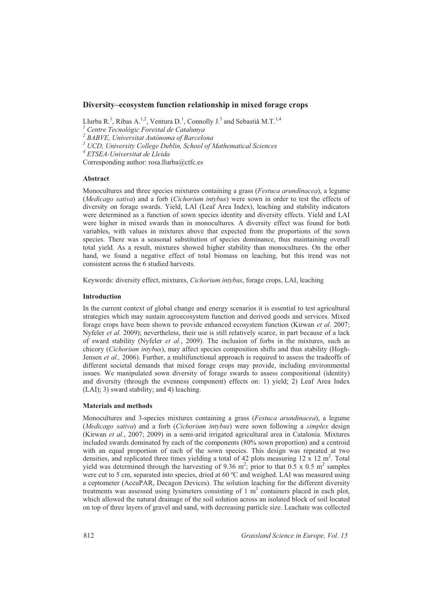# **Diversity–ecosystem function relationship in mixed forage crops**

Llurba R.<sup>1</sup>, Ribas A.<sup>1,2</sup>, Ventura D.<sup>1</sup>, Connolly J.<sup>3</sup> and Sebastià M.T.<sup>1,4</sup>

*1 Centre Tecnològic Forestal de Catalunya* 

*2 BABVE, Universitat Autònoma of Barcelona*

*3 UCD, University College Dublin, School of Mathematical Sciences*

*4 ETSEA-Universitat de Lleida* 

Corresponding author: rosa.llurba@ctfc.es

# **Abstract**

Monocultures and three species mixtures containing a grass (*Festuca arundinacea*), a legume (*Medicago sativa*) and a forb (*Cichorium intybus*) were sown in order to test the effects of diversity on forage swards. Yield, LAI (Leaf Area Index), leaching and stability indicators were determined as a function of sown species identity and diversity effects. Yield and LAI were higher in mixed swards than in monocultures. A diversity effect was found for both variables, with values in mixtures above that expected from the proportions of the sown species. There was a seasonal substitution of species dominance, thus maintaining overall total yield. As a result, mixtures showed higher stability than monocultures. On the other hand, we found a negative effect of total biomass on leaching, but this trend was not consistent across the 6 studied harvests.

Keywords: diversity effect, mixtures, *Cichorium intybus*, forage crops, LAI, leaching

# **Introduction**

In the current context of global change and energy scenarios it is essential to test agricultural strategies which may sustain agroecosystem function and derived goods and services. Mixed forage crops have been shown to provide enhanced ecosystem function (Kirwan *et al.* 2007; Nyfeler *et al.* 2009); nevertheless, their use is still relatively scarce, in part because of a lack of sward stability (Nyfeler *et al.*, 2009). The inclusion of forbs in the mixtures, such as chicory (*Cichorium intybus*), may affect species composition shifts and thus stability (Hogh-Jensen *et al.,* 2006). Further, a multifunctional approach is required to assess the tradeoffs of different societal demands that mixed forage crops may provide, including environmental issues. We manipulated sown diversity of forage swards to assess compositional (identity) and diversity (through the evenness component) effects on: 1) yield; 2) Leaf Area Index (LAI); 3) sward stability; and 4) leaching.

# **Materials and methods**

Monocultures and 3-species mixtures containing a grass (*Festuca arundinacea*), a legume (*Medicago sativa*) and a forb (*Cichorium intybus*) were sown following a *simplex* design (Kirwan *et al.*, 2007; 2009) in a semi-arid irrigated agricultural area in Catalonia. Mixtures included swards dominated by each of the components (80% sown proportion) and a centroid with an equal proportion of each of the sown species. This design was repeated at two densities, and replicated three times yielding a total of 42 plots measuring  $12 \times 12 \text{ m}^2$ . Total yield was determined through the harvesting of 9.36 m<sup>2</sup>; prior to that 0.5 x 0.5 m<sup>2</sup> samples were cut to 5 cm, separated into species, dried at 60 °C and weighed. LAI was measured using a ceptometer (AccuPAR, Decagon Devices). The solution leaching for the different diversity treatments was assessed using lysimeters consisting of 1 m<sup>3</sup> containers placed in each plot, which allowed the natural drainage of the soil solution across an isolated block of soil located on top of three layers of gravel and sand, with decreasing particle size. Leachate was collected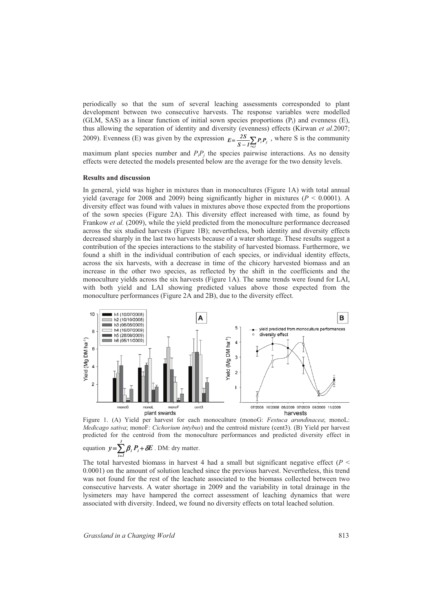periodically so that the sum of several leaching assessments corresponded to plant development between two consecutive harvests. The response variables were modelled (GLM, SAS) as a linear function of initial sown species proportions  $(P_i)$  and evenness  $(E)$ , thus allowing the separation of identity and diversity (evenness) effects (Kirwan *et al.*2007; 2009). Evenness (E) was given by the expression  $E = \frac{2S}{S - I_{i\epsilon j}} P_i P_j$  $E = \frac{2S}{S - I} \sum_{i < j} P_i P_j$ , where S is the community

maximum plant species number and  $P_iP_j$  the species pairwise interactions. As no density effects were detected the models presented below are the average for the two density levels.

#### **Results and discussion**

In general, yield was higher in mixtures than in monocultures (Figure 1A) with total annual yield (average for 2008 and 2009) being significantly higher in mixtures ( $P < 0.0001$ ). A diversity effect was found with values in mixtures above those expected from the proportions of the sown species (Figure 2A). This diversity effect increased with time, as found by Frankow *et al.* (2009), while the yield predicted from the monoculture performance decreased across the six studied harvests (Figure 1B); nevertheless, both identity and diversity effects decreased sharply in the last two harvests because of a water shortage. These results suggest a contribution of the species interactions to the stability of harvested biomass. Furthermore, we found a shift in the individual contribution of each species, or individual identity effects, across the six harvests, with a decrease in time of the chicory harvested biomass and an increase in the other two species, as reflected by the shift in the coefficients and the monoculture yields across the six harvests (Figure 1A). The same trends were found for LAI, with both yield and LAI showing predicted values above those expected from the monoculture performances (Figure 2A and 2B), due to the diversity effect.



Figure 1. (A) Yield per harvest for each monoculture (monoG: *Festuca arundinacea*; monoL: *Medicago sativa*; monoF: *Cichorium intybus*) and the centroid mixture (cent3). (B) Yield per harvest predicted for the centroid from the monoculture performances and predicted diversity effect in *3*

equation  $y = \sum \beta_i P_i + \delta E$ . DM: dry matter. *1i* =

The total harvested biomass in harvest 4 had a small but significant negative effect ( $P \leq$ 0.0001) on the amount of solution leached since the previous harvest. Nevertheless, this trend was not found for the rest of the leachate associated to the biomass collected between two consecutive harvests. A water shortage in 2009 and the variability in total drainage in the lysimeters may have hampered the correct assessment of leaching dynamics that were associated with diversity. Indeed, we found no diversity effects on total leached solution.